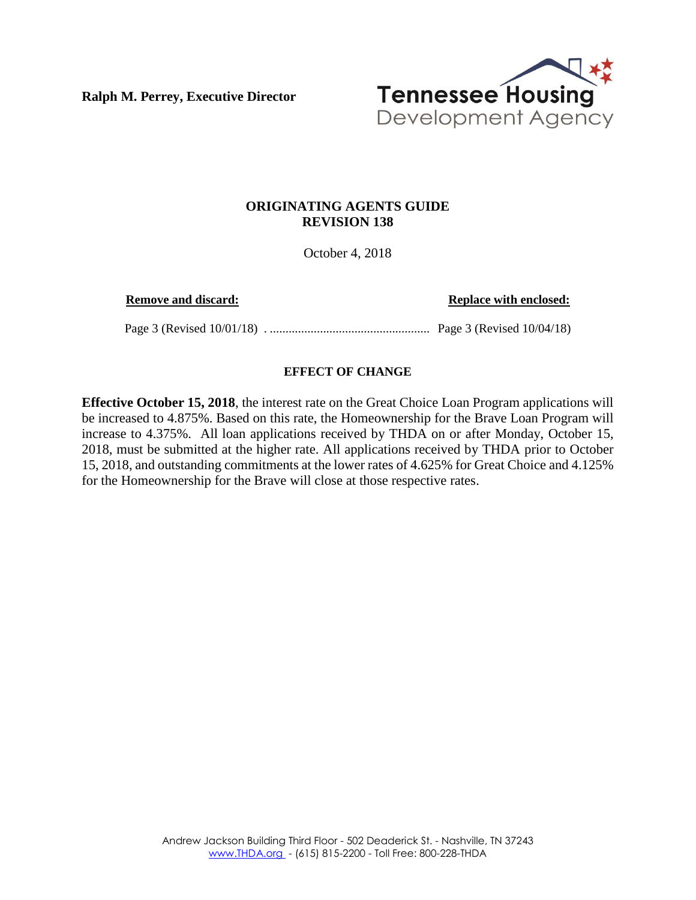**Ralph M. Perrey, Executive Director**



## **ORIGINATING AGENTS GUIDE REVISION 138**

October 4, 2018

**Remove and discard: Replace with enclosed:**

Page 3 (Revised 10/01/18) . ................................................... Page 3 (Revised 10/04/18)

## **EFFECT OF CHANGE**

**Effective October 15, 2018**, the interest rate on the Great Choice Loan Program applications will be increased to 4.875%. Based on this rate, the Homeownership for the Brave Loan Program will increase to 4.375%. All loan applications received by THDA on or after Monday, October 15, 2018, must be submitted at the higher rate. All applications received by THDA prior to October 15, 2018, and outstanding commitments at the lower rates of 4.625% for Great Choice and 4.125% for the Homeownership for the Brave will close at those respective rates.